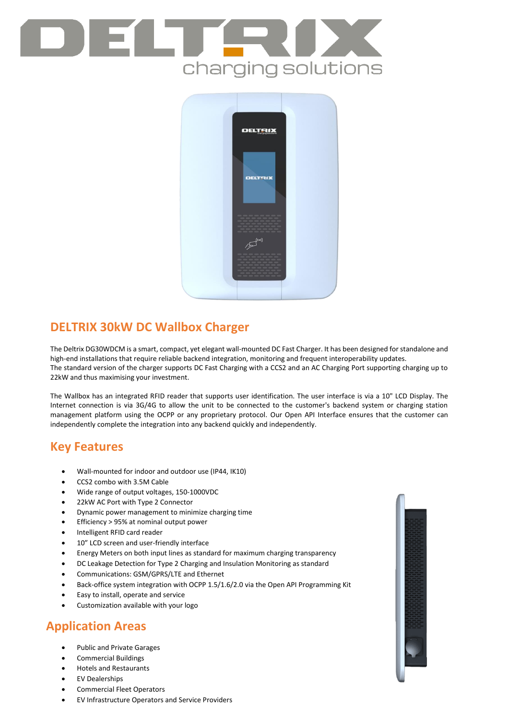# charging solutions



## **DELTRIX 30kW DC Wallbox Charger**

The Deltrix DG30WDCM is a smart, compact, yet elegant wall-mounted DC Fast Charger. It has been designed for standalone and high-end installations that require reliable backend integration, monitoring and frequent interoperability updates. The standard version of the charger supports DC Fast Charging with a CCS2 and an AC Charging Port supporting charging up to 22kW and thus maximising your investment.

The Wallbox has an integrated RFID reader that supports user identification. The user interface is via a 10" LCD Display. The Internet connection is via 3G/4G to allow the unit to be connected to the customer's backend system or charging station management platform using the OCPP or any proprietary protocol. Our Open API Interface ensures that the customer can independently complete the integration into any backend quickly and independently.

## **Key Features**

- Wall-mounted for indoor and outdoor use (IP44, IK10)
- CCS2 combo with 3.5M Cable
- Wide range of output voltages, 150-1000VDC
- 22kW AC Port with Type 2 Connector
- Dynamic power management to minimize charging time
- Efficiency > 95% at nominal output power
- Intelligent RFID card reader
- 10" LCD screen and user-friendly interface
- Energy Meters on both input lines as standard for maximum charging transparency
- DC Leakage Detection for Type 2 Charging and Insulation Monitoring as standard
- Communications: GSM/GPRS/LTE and Ethernet
- Back-office system integration with OCPP 1.5/1.6/2.0 via the Open API Programming Kit
- Easy to install, operate and service
- Customization available with your logo

## **Application Areas**

- Public and Private Garages
- Commercial Buildings
- Hotels and Restaurants
- EV Dealerships
- Commercial Fleet Operators
- EV Infrastructure Operators and Service Providers